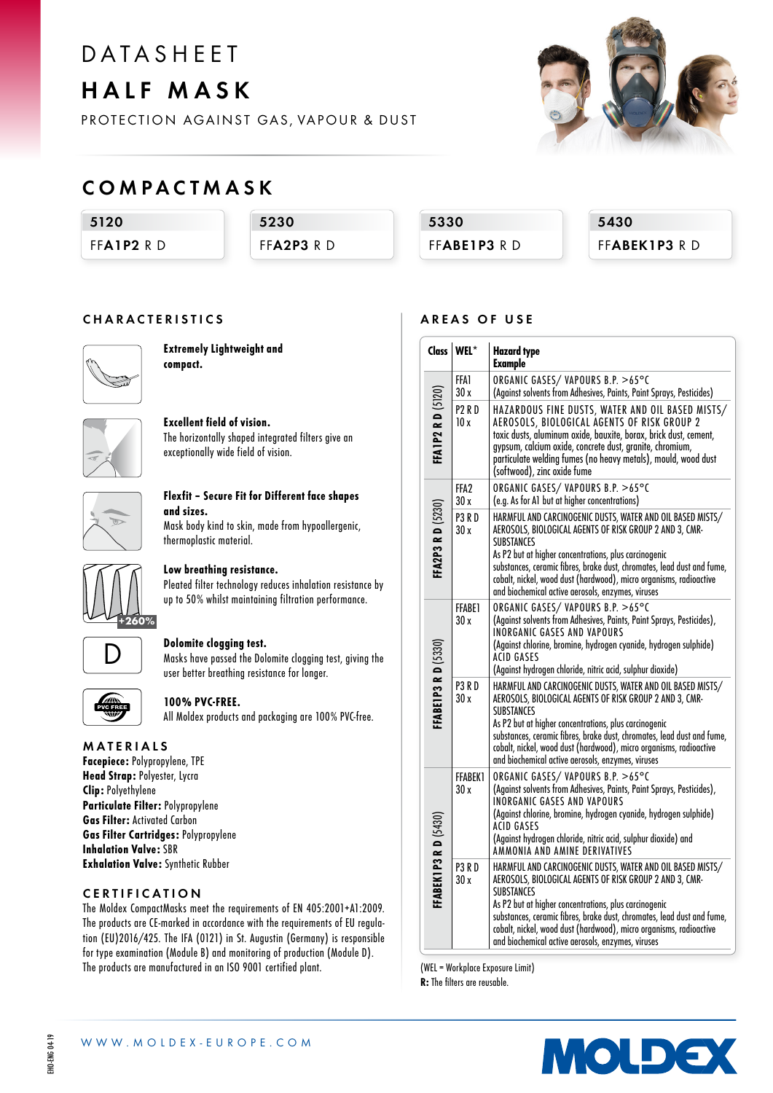# **DATASHFFT**

HALF MASK

PROTECTION AGAINST GAS, VAPOUR & DUST



### COMPACTMASK

5120

FFA1P<sub>2</sub> R D

5230 FFA<sub>2P3</sub> R D

5330 FFABE1P3 RD 5430 FFABEK1P3 RD

### CHARACTERISTICS



Extremely Lightweight and compact.



Excellent field of vision. The horizontally shaped integrated filters give an exceptionally wide field of vision.



### Flexfit – Secure Fit for Different face shapes and sizes. Mask body kind to skin, made from hypoallergenic,

thermoplastic material.



### Low breathing resistance.

Pleated filter technology reduces inhalation resistance by up to 50% whilst maintaining filtration performance.



### Dolomite clogging test.

Masks have passed the Dolomite clogging test, giving the user better breathing resistance for longer.



### 100% PVC-FREE.

All Moldex products and packaging are 100% PVC-free.

### MATERIALS

Facepiece: Polypropylene, TPE Head Strap: Polyester, Lycra Clip: Polyethylene Particulate Filter: Polypropylene Gas Filter: Activated Carbon Gas Filter Cartridges: Polypropylene Inhalation Valve: SBR Exhalation Valve: Synthetic Rubber

### CERTIFICATION

The Moldex CompactMasks meet the requirements of EN 405:2001+A1:2009. The products are CE-marked in accordance with the requirements of EU regulation (EU)2016/425. The IFA (0121) in St. Augustin (Germany) is responsible for type examination (Module B) and monitoring of production (Module D). The products are manufactured in an ISO 9001 certified plant.

### AREAS OF USE

|                             | Class   WEL*              | <b>Hazard type</b><br><b>Example</b>                                                                                                                                                                                                                                                                                                                                                                     |  |  |
|-----------------------------|---------------------------|----------------------------------------------------------------------------------------------------------------------------------------------------------------------------------------------------------------------------------------------------------------------------------------------------------------------------------------------------------------------------------------------------------|--|--|
| <b>FFA1P2 R D (5120)</b>    | FFA1<br>30 x              | ORGANIC GASES/VAPOURS B.P. >65°C<br>(Against solvents from Adhesives, Paints, Paint Sprays, Pesticides)                                                                                                                                                                                                                                                                                                  |  |  |
|                             | P <sub>2</sub> RD<br>10x  | HAZARDOUS FINE DUSTS, WATER AND OIL BASED MISTS/<br>AEROSOLS, BIOLOGICAL AGENTS OF RISK GROUP 2<br>toxic dusts, aluminum oxide, bauxite, borax, brick dust, cement,<br>gypsum, calcium oxide, concrete dust, granite, chromium,<br>particulate welding fumes (no heavy metals), mould, wood dust<br>(softwood), zinc oxide fume                                                                          |  |  |
|                             | FFA <sub>2</sub><br>30x   | ORGANIC GASES/VAPOURS B.P. >65°C<br>(e.g. As for A1 but at higher concentrations)                                                                                                                                                                                                                                                                                                                        |  |  |
| FFA2P3 RD (5230)            | P <sub>3</sub> RD<br>30 x | HARMFUL AND CARCINOGENIC DUSTS, WATER AND OIL BASED MISTS/<br>AEROSOLS, BIOLOGICAL AGENTS OF RISK GROUP 2 AND 3, CMR-<br><b>SUBSTANCES</b><br>As P2 but at higher concentrations, plus carcinogenic<br>substances, ceramic fibres, brake dust, chromates, lead dust and fume,<br>cobalt, nickel, wood dust (hardwood), micro organisms, radioactive<br>and biochemical active aerosols, enzymes, viruses |  |  |
|                             | FFABE1<br>30 x            | ORGANIC GASES/VAPOURS B.P. >65°C<br>(Against solvents from Adhesives, Paints, Paint Sprays, Pesticides),<br><b>INORGANIC GASES AND VAPOURS</b><br>(Against chlorine, bromine, hydrogen cyanide, hydrogen sulphide)<br>ACID GASES<br>(Against hydrogen chloride, nitric acid, sulphur dioxide)                                                                                                            |  |  |
| <b>FFABE1P3 RD (5330)</b>   | <b>P3 R D</b><br>30x      | HARMFUL AND CARCINOGENIC DUSTS, WATER AND OIL BASED MISTS/<br>AEROSOLS, BIOLOGICAL AGENTS OF RISK GROUP 2 AND 3, CMR-<br><b>SUBSTANCES</b><br>As P2 but at higher concentrations, plus carcinogenic<br>substances, ceramic fibres, brake dust, chromates, lead dust and fume,<br>cobalt, nickel, wood dust (hardwood), micro organisms, radioactive<br>and biochemical active aerosols, enzymes, viruses |  |  |
|                             | <b>FFABEK1</b><br>30x     | ORGANIC GASES/VAPOURS B.P. >65°C<br>(Against solvents from Adhesives, Paints, Paint Sprays, Pesticides),<br>INORGANIC GASES AND VAPOURS<br>(Against chlorine, bromine, hydrogen cyanide, hydrogen sulphide)<br>ACID GASES<br>(Against hydrogen chloride, nitric acid, sulphur dioxide) and<br>AMMONIA AND AMINE DERIVATIVES                                                                              |  |  |
| <b>FFABEK1P3 R D (5430)</b> | P3RD<br>30x               | HARMFUL AND CARCINOGENIC DUSTS, WATER AND OIL BASED MISTS/<br>AEROSOLS, BIOLOGICAL AGENTS OF RISK GROUP 2 AND 3, CMR-<br><b>SUBSTANCES</b><br>As P2 but at higher concentrations, plus carcinogenic<br>substances, ceramic fibres, brake dust, chromates, lead dust and fume,<br>cobalt, nickel, wood dust (hardwood), micro organisms, radioactive<br>and biochemical active aerosols, enzymes, viruses |  |  |

(WEL = Workplace Exposure Limit)

R: The filters are reusable.